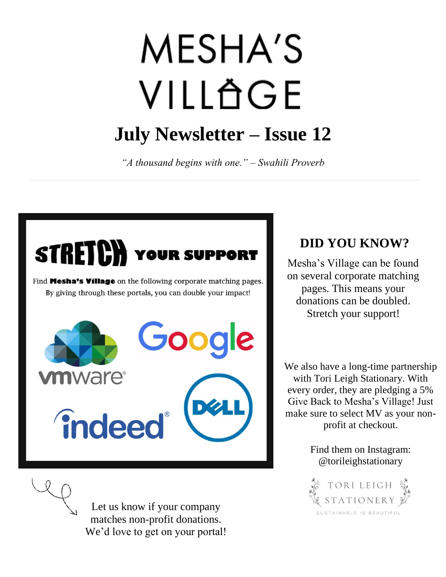# **MESHA'S** VILLAGE **July Newsletter – Issue 12**

*"A thousand begins with one." – Swahili Proverb*



Let us know if your company matches non-profit donations. We'd love to get on your portal!

# **DID YOU KNOW?**

Mesha's Village can be found on several corporate matching pages. This means your donations can be doubled. Stretch your support!

We also have a long-time partnership with Tori Leigh Stationary. With every order, they are pledging a 5% Give Back to Mesha's Village! Just make sure to select MV as your nonprofit at checkout.

> Find them on Instagram: @torileighstationary

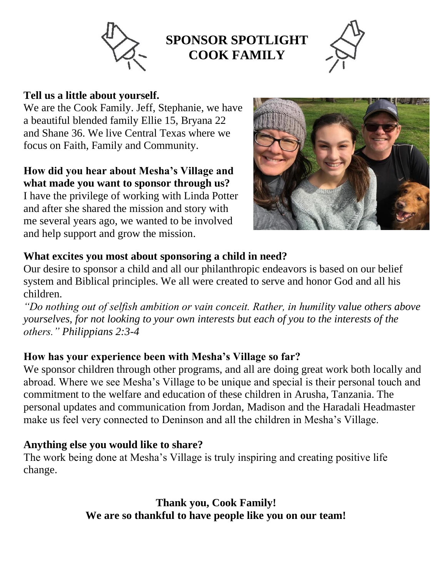

# **SPONSOR SPOTLIGHT COOK FAMILY**



#### **Tell us a little about yourself.**

**Be**  a beautiful blended family Ellie 15, Bryana 22 We are the Cook Family. Jeff, Stephanie, we have and Shane 36. We live Central Texas where we focus on Faith, Family and Community.

## **How did you hear about Mesha's Village and what made you want to sponsor through us?**

I have the privilege of working with Linda Potter and after she shared the mission and story with me several years ago, we wanted to be involved and help support and grow the mission.



## **What excites you most about sponsoring a child in need?**

Our desire to sponsor a child and all our philanthropic endeavors is based on our belief system and Biblical principles. We all were created to serve and honor God and all his children.

*"Do nothing out of selfish ambition or vain conceit. Rather, in humility value others above yourselves, for not looking to your own interests but each of you to the interests of the others." Philippians 2:3-4*

### **How has your experience been with Mesha's Village so far?**

We sponsor children through other programs, and all are doing great work both locally and abroad. Where we see Mesha's Village to be unique and special is their personal touch and commitment to the welfare and education of these children in Arusha, Tanzania. The personal updates and communication from Jordan, Madison and the Haradali Headmaster make us feel very connected to Deninson and all the children in Mesha's Village.

### **Anything else you would like to share?**

The work being done at Mesha's Village is truly inspiring and creating positive life change.

> **Thank you, Cook Family! We are so thankful to have people like you on our team!**